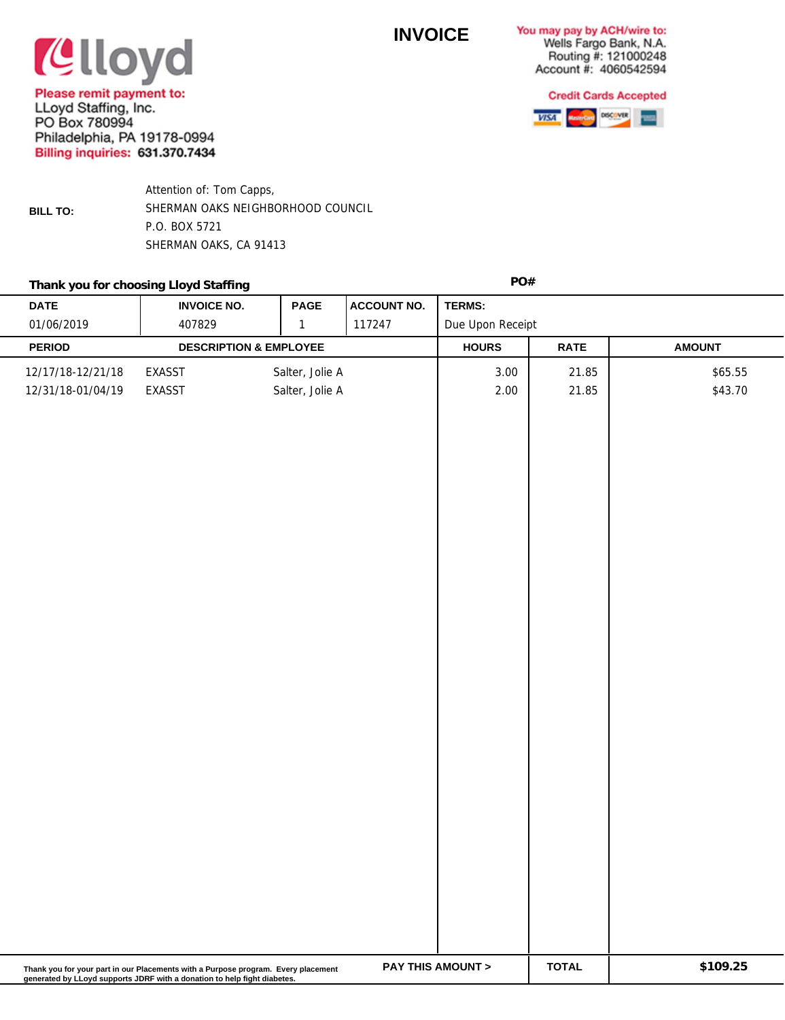## **INVOICE**

You may pay by ACH/wire to: Wells Fargo Bank, N.A. Routing #: 121000248 Account #: 4060542594



**Clloyd** Please remit payment to:

LLoyd Staffing, Inc. PO Box 780994 Philadelphia, PA 19178-0994 **Billing inquiries: 631.370.7434** 

**BILL TO:**

Attention of: Tom Capps, SHERMAN OAKS NEIGHBORHOOD COUNCIL P.O. BOX 5721 SHERMAN OAKS, CA 91413

## **PO#** Thank you for choosing Lloyd Staffing

| <b>DATE</b>                                                                                                                                                                                                              | <b>INVOICE NO.</b>                | <b>PAGE</b>                        | <b>ACCOUNT NO.</b> | TERMS:           |                |                    |  |  |
|--------------------------------------------------------------------------------------------------------------------------------------------------------------------------------------------------------------------------|-----------------------------------|------------------------------------|--------------------|------------------|----------------|--------------------|--|--|
| 01/06/2019                                                                                                                                                                                                               | 407829                            | $\mathbf 1$                        | 117247             | Due Upon Receipt |                |                    |  |  |
| <b>PERIOD</b>                                                                                                                                                                                                            | <b>DESCRIPTION &amp; EMPLOYEE</b> |                                    |                    | <b>HOURS</b>     | <b>RATE</b>    | <b>AMOUNT</b>      |  |  |
| 12/17/18-12/21/18<br>12/31/18-01/04/19                                                                                                                                                                                   | EXASST<br>EXASST                  | Salter, Jolie A<br>Salter, Jolie A |                    | 3.00<br>2.00     | 21.85<br>21.85 | \$65.55<br>\$43.70 |  |  |
|                                                                                                                                                                                                                          |                                   |                                    |                    |                  |                |                    |  |  |
| \$109.25<br><b>PAY THIS AMOUNT &gt;</b><br><b>TOTAL</b><br>Thank you for your part in our Placements with a Purpose program. Every placement<br>generated by LLoyd supports JDRF with a donation to help fight diabetes. |                                   |                                    |                    |                  |                |                    |  |  |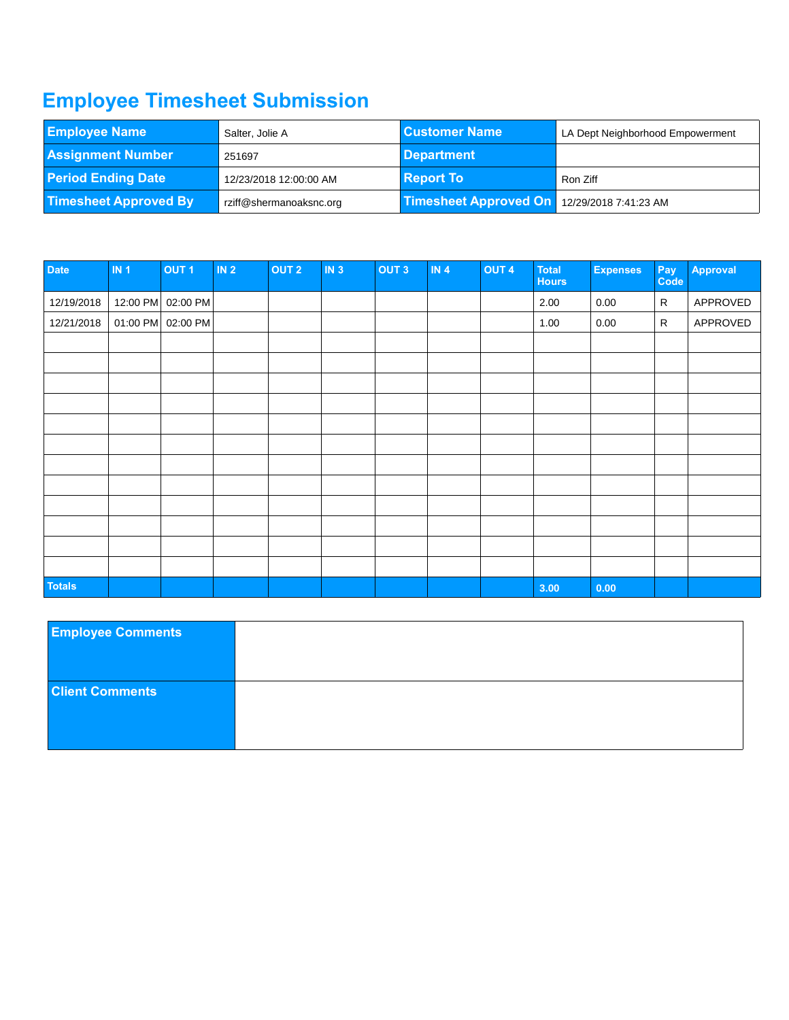## **Employee Timesheet Submission**

| <b>Employee Name</b><br>Salter, Jolie A |                         | <b>Customer Name</b>         | LA Dept Neighborhood Empowerment |  |  |  |
|-----------------------------------------|-------------------------|------------------------------|----------------------------------|--|--|--|
| <b>Assignment Number</b>                | 251697                  | Department                   |                                  |  |  |  |
| <b>Period Ending Date</b>               | 12/23/2018 12:00:00 AM  | <b>Report To</b>             | Ron Ziff                         |  |  |  |
| <b>Timesheet Approved By</b>            | rziff@shermanoaksnc.org | <b>Timesheet Approved On</b> | 12/29/2018 7:41:23 AM            |  |  |  |

| Date          | IN <sub>1</sub> | OUT <sub>1</sub>  | IN <sub>2</sub> | <b>OUT 2</b> | IN <sub>3</sub> | OUT <sub>3</sub> | IN <sub>4</sub> | <b>OUT 4</b> | <b>Total</b><br><b>Hours</b> | <b>Expenses</b> | Pay<br>Code  | Approval |
|---------------|-----------------|-------------------|-----------------|--------------|-----------------|------------------|-----------------|--------------|------------------------------|-----------------|--------------|----------|
| 12/19/2018    | 12:00 PM        | 02:00 PM          |                 |              |                 |                  |                 |              | 2.00                         | 0.00            | $\mathsf R$  | APPROVED |
| 12/21/2018    |                 | 01:00 PM 02:00 PM |                 |              |                 |                  |                 |              | 1.00                         | 0.00            | $\mathsf{R}$ | APPROVED |
|               |                 |                   |                 |              |                 |                  |                 |              |                              |                 |              |          |
|               |                 |                   |                 |              |                 |                  |                 |              |                              |                 |              |          |
|               |                 |                   |                 |              |                 |                  |                 |              |                              |                 |              |          |
|               |                 |                   |                 |              |                 |                  |                 |              |                              |                 |              |          |
|               |                 |                   |                 |              |                 |                  |                 |              |                              |                 |              |          |
|               |                 |                   |                 |              |                 |                  |                 |              |                              |                 |              |          |
|               |                 |                   |                 |              |                 |                  |                 |              |                              |                 |              |          |
|               |                 |                   |                 |              |                 |                  |                 |              |                              |                 |              |          |
|               |                 |                   |                 |              |                 |                  |                 |              |                              |                 |              |          |
|               |                 |                   |                 |              |                 |                  |                 |              |                              |                 |              |          |
|               |                 |                   |                 |              |                 |                  |                 |              |                              |                 |              |          |
|               |                 |                   |                 |              |                 |                  |                 |              |                              |                 |              |          |
| <b>Totals</b> |                 |                   |                 |              |                 |                  |                 |              | 3.00                         | 0.00            |              |          |

| <b>Employee Comments</b> |  |
|--------------------------|--|
| <b>Client Comments</b>   |  |